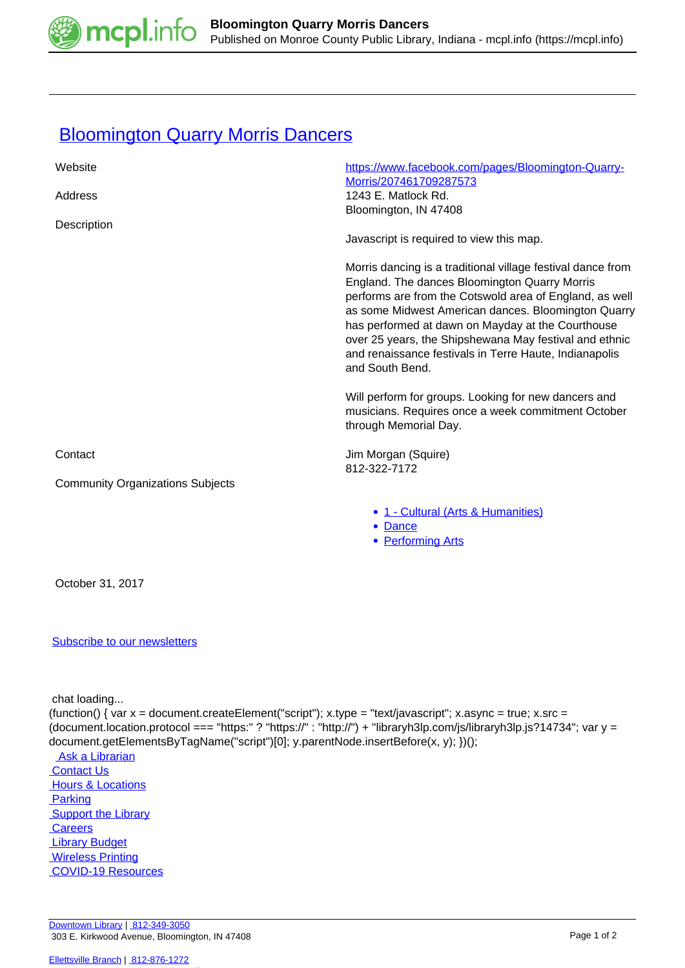

## **[Bloomington Quarry Morris Dancers](https://mcpl.info/commorg/bloomington-quarry-morris-dancers)**

| Website                                 | https://www.facebook.com/pages/Bloomington-Quarry-<br>Morris/207461709287573                                                                                                                                                                                                                                                                                                                                               |
|-----------------------------------------|----------------------------------------------------------------------------------------------------------------------------------------------------------------------------------------------------------------------------------------------------------------------------------------------------------------------------------------------------------------------------------------------------------------------------|
| Address                                 | 1243 E. Matlock Rd.<br>Bloomington, IN 47408                                                                                                                                                                                                                                                                                                                                                                               |
| Description                             | Javascript is required to view this map.                                                                                                                                                                                                                                                                                                                                                                                   |
|                                         | Morris dancing is a traditional village festival dance from<br>England. The dances Bloomington Quarry Morris<br>performs are from the Cotswold area of England, as well<br>as some Midwest American dances. Bloomington Quarry<br>has performed at dawn on Mayday at the Courthouse<br>over 25 years, the Shipshewana May festival and ethnic<br>and renaissance festivals in Terre Haute, Indianapolis<br>and South Bend. |
|                                         | Will perform for groups. Looking for new dancers and<br>musicians. Requires once a week commitment October<br>through Memorial Day.                                                                                                                                                                                                                                                                                        |
| Contact                                 | Jim Morgan (Squire)<br>812-322-7172                                                                                                                                                                                                                                                                                                                                                                                        |
| <b>Community Organizations Subjects</b> |                                                                                                                                                                                                                                                                                                                                                                                                                            |
|                                         | • 1 - Cultural (Arts & Humanities)<br>• Dance<br>• Performing Arts                                                                                                                                                                                                                                                                                                                                                         |
| October 31, 2017                        |                                                                                                                                                                                                                                                                                                                                                                                                                            |
|                                         |                                                                                                                                                                                                                                                                                                                                                                                                                            |

## [Subscribe to our newsletters](https://mcpl.info/geninfo/subscribe-think-library-newsletter)

chat loading...

(function() { var x = document.createElement("script"); x.type = "text/javascript"; x.async = true; x.src = (document.location.protocol === "https:" ? "https://" : "http://") + "libraryh3lp.com/js/libraryh3lp.js?14734"; var y = document.getElementsByTagName("script")[0]; y.parentNode.insertBefore(x, y); })();

Ask a Librarian **Contact Us Hours & Locations**  [Parking](https://mcpl.info/parking?utm_source=footer&utm_medium=links&utm_campaign=parking) **Support the Library Careers Library Budget**  [Wireless Printing](https://tbs.eprintit.com/portal/#/ppl/upload/monroecpl)  [COVID-19 Resources](https://mcpl.info/geninfo/local-covid-resources)